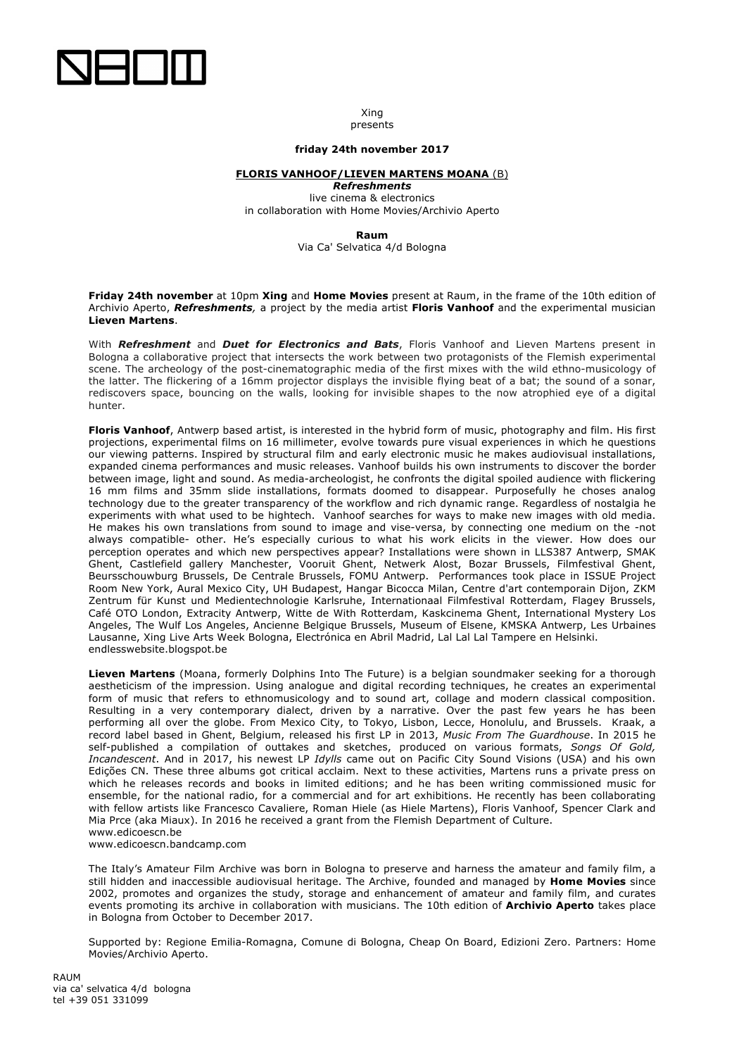

Xing presents

## **friday 24th november 2017**

## **FLORIS VANHOOF/LIEVEN MARTENS MOANA** (B)

*Refreshments*  live cinema & electronics in collaboration with Home Movies/Archivio Aperto

**Raum**

Via Ca' Selvatica 4/d Bologna

**Friday 24th november** at 10pm **Xing** and **Home Movies** present at Raum, in the frame of the 10th edition of Archivio Aperto, *Refreshments,* a project by the media artist **Floris Vanhoof** and the experimental musician **Lieven Martens**.

With *Refreshment* and *Duet for Electronics and Bats*, Floris Vanhoof and Lieven Martens present in Bologna a collaborative project that intersects the work between two protagonists of the Flemish experimental scene. The archeology of the post-cinematographic media of the first mixes with the wild ethno-musicology of the latter. The flickering of a 16mm projector displays the invisible flying beat of a bat; the sound of a sonar, rediscovers space, bouncing on the walls, looking for invisible shapes to the now atrophied eye of a digital hunter.

**Floris Vanhoof**, Antwerp based artist, is interested in the hybrid form of music, photography and film. His first projections, experimental films on 16 millimeter, evolve towards pure visual experiences in which he questions our viewing patterns. Inspired by structural film and early electronic music he makes audiovisual installations, expanded cinema performances and music releases. Vanhoof builds his own instruments to discover the border between image, light and sound. As media-archeologist, he confronts the digital spoiled audience with flickering 16 mm films and 35mm slide installations, formats doomed to disappear. Purposefully he choses analog technology due to the greater transparency of the workflow and rich dynamic range. Regardless of nostalgia he experiments with what used to be hightech. Vanhoof searches for ways to make new images with old media. He makes his own translations from sound to image and vise-versa, by connecting one medium on the -not always compatible- other. He's especially curious to what his work elicits in the viewer. How does our perception operates and which new perspectives appear? Installations were shown in LLS387 Antwerp, SMAK Ghent, Castlefield gallery Manchester, Vooruit Ghent, Netwerk Alost, Bozar Brussels, Filmfestival Ghent, Beursschouwburg Brussels, De Centrale Brussels, FOMU Antwerp. Performances took place in ISSUE Project Room New York, Aural Mexico City, UH Budapest, Hangar Bicocca Milan, Centre d'art contemporain Dijon, ZKM Zentrum für Kunst und Medientechnologie Karlsruhe, Internationaal Filmfestival Rotterdam, Flagey Brussels, Café OTO London, Extracity Antwerp, Witte de With Rotterdam, Kaskcinema Ghent, International Mystery Los Angeles, The Wulf Los Angeles, Ancienne Belgique Brussels, Museum of Elsene, KMSKA Antwerp, Les Urbaines Lausanne, Xing Live Arts Week Bologna, Electrónica en Abril Madrid, Lal Lal Lal Tampere en Helsinki. endlesswebsite.blogspot.be

**Lieven Martens** (Moana, formerly Dolphins Into The Future) is a belgian soundmaker seeking for a thorough aestheticism of the impression. Using analogue and digital recording techniques, he creates an experimental form of music that refers to ethnomusicology and to sound art, collage and modern classical composition. Resulting in a very contemporary dialect, driven by a narrative. Over the past few years he has been performing all over the globe. From Mexico City, to Tokyo, Lisbon, Lecce, Honolulu, and Brussels. Kraak, a record label based in Ghent, Belgium, released his first LP in 2013, *Music From The Guardhouse*. In 2015 he self-published a compilation of outtakes and sketches, produced on various formats, *Songs Of Gold, Incandescent*. And in 2017, his newest LP *Idylls* came out on Pacific City Sound Visions (USA) and his own Edições CN. These three albums got critical acclaim. Next to these activities, Martens runs a private press on which he releases records and books in limited editions; and he has been writing commissioned music for ensemble, for the national radio, for a commercial and for art exhibitions. He recently has been collaborating with fellow artists like Francesco Cavaliere, Roman Hiele (as Hiele Martens), Floris Vanhoof, Spencer Clark and Mia Prce (aka Miaux). In 2016 he received a grant from the Flemish Department of Culture. www.edicoescn.be

www.edicoescn.bandcamp.com

The Italy's Amateur Film Archive was born in Bologna to preserve and harness the amateur and family film, a still hidden and inaccessible audiovisual heritage. The Archive, founded and managed by **Home Movies** since 2002, promotes and organizes the study, storage and enhancement of amateur and family film, and curates events promoting its archive in collaboration with musicians. The 10th edition of **Archivio Aperto** takes place in Bologna from October to December 2017.

Supported by: Regione Emilia-Romagna, Comune di Bologna, Cheap On Board, Edizioni Zero. Partners: Home Movies/Archivio Aperto.

RAUM via ca' selvatica 4/d bologna tel +39 051 331099